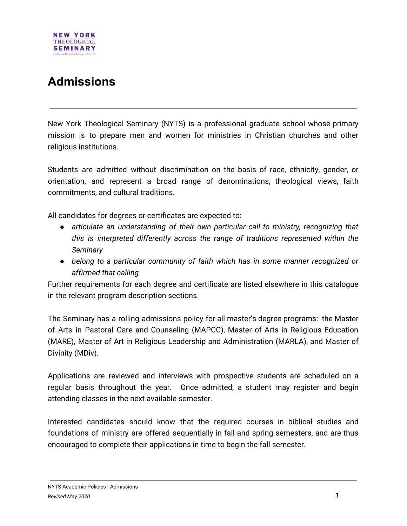## **NEW YORK THEOLOGICAL SEMINARY**

## **Admissions**

New York Theological Seminary (NYTS) is a professional graduate school whose primary mission is to prepare men and women for ministries in Christian churches and other religious institutions.

Students are admitted without discrimination on the basis of race, ethnicity, gender, or orientation, and represent a broad range of denominations, theological views, faith commitments, and cultural traditions.

All candidates for degrees or certificates are expected to:

- *● articulate an understanding of their own particular call to ministry, recognizing that this is interpreted differently across the range of traditions represented within the Seminary*
- *● belong to a particular community of faith which has in some manner recognized or affirmed that calling*

Further requirements for each degree and certificate are listed elsewhere in this catalogue in the relevant program description sections.

The Seminary has a rolling admissions policy for all master's degree programs: the Master of Arts in Pastoral Care and Counseling (MAPCC), Master of Arts in Religious Education (MARE), Master of Art in Religious Leadership and Administration (MARLA), and Master of Divinity (MDiv).

Applications are reviewed and interviews with prospective students are scheduled on a regular basis throughout the year. Once admitted, a student may register and begin attending classes in the next available semester.

Interested candidates should know that the required courses in biblical studies and foundations of ministry are offered sequentially in fall and spring semesters, and are thus encouraged to complete their applications in time to begin the fall semester.